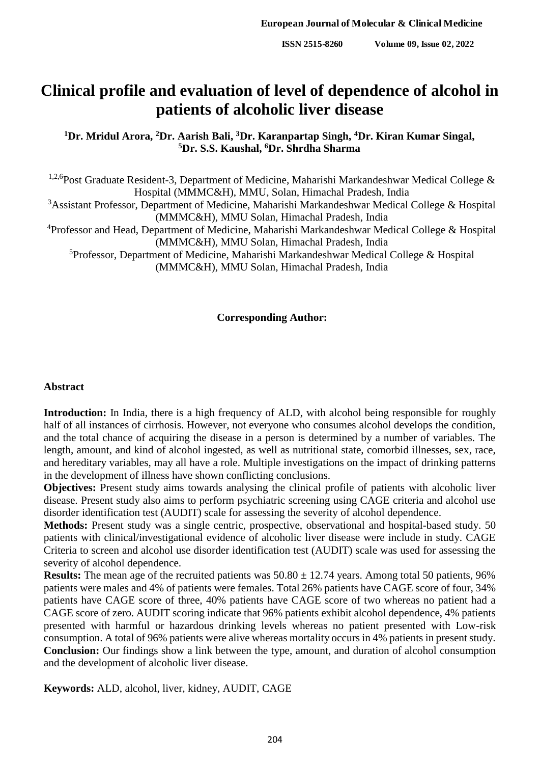# **Clinical profile and evaluation of level of dependence of alcohol in patients of alcoholic liver disease**

**<sup>1</sup>Dr. Mridul Arora, <sup>2</sup>Dr. Aarish Bali, <sup>3</sup>Dr. Karanpartap Singh, <sup>4</sup>Dr. Kiran Kumar Singal, <sup>5</sup>Dr. S.S. Kaushal, <sup>6</sup>Dr. Shrdha Sharma**

<sup>1,2,6</sup>Post Graduate Resident-3, Department of Medicine, Maharishi Markandeshwar Medical College & Hospital (MMMC&H), MMU, Solan, Himachal Pradesh, India

<sup>3</sup>Assistant Professor, Department of Medicine, Maharishi Markandeshwar Medical College & Hospital (MMMC&H), MMU Solan, Himachal Pradesh, India

<sup>4</sup>Professor and Head, Department of Medicine, Maharishi Markandeshwar Medical College & Hospital (MMMC&H), MMU Solan, Himachal Pradesh, India

<sup>5</sup>Professor, Department of Medicine, Maharishi Markandeshwar Medical College & Hospital (MMMC&H), MMU Solan, Himachal Pradesh, India

#### **Corresponding Author:**

#### **Abstract**

**Introduction:** In India, there is a high frequency of ALD, with alcohol being responsible for roughly half of all instances of cirrhosis. However, not everyone who consumes alcohol develops the condition, and the total chance of acquiring the disease in a person is determined by a number of variables. The length, amount, and kind of alcohol ingested, as well as nutritional state, comorbid illnesses, sex, race, and hereditary variables, may all have a role. Multiple investigations on the impact of drinking patterns in the development of illness have shown conflicting conclusions.

**Objectives:** Present study aims towards analysing the clinical profile of patients with alcoholic liver disease. Present study also aims to perform psychiatric screening using CAGE criteria and alcohol use disorder identification test (AUDIT) scale for assessing the severity of alcohol dependence.

**Methods:** Present study was a single centric, prospective, observational and hospital-based study. 50 patients with clinical/investigational evidence of alcoholic liver disease were include in study. CAGE Criteria to screen and alcohol use disorder identification test (AUDIT) scale was used for assessing the severity of alcohol dependence.

**Results:** The mean age of the recruited patients was  $50.80 \pm 12.74$  years. Among total 50 patients, 96% patients were males and 4% of patients were females. Total 26% patients have CAGE score of four, 34% patients have CAGE score of three, 40% patients have CAGE score of two whereas no patient had a CAGE score of zero. AUDIT scoring indicate that 96% patients exhibit alcohol dependence, 4% patients presented with harmful or hazardous drinking levels whereas no patient presented with Low-risk consumption. A total of 96% patients were alive whereas mortality occurs in 4% patients in present study. **Conclusion:** Our findings show a link between the type, amount, and duration of alcohol consumption and the development of alcoholic liver disease.

**Keywords:** ALD, alcohol, liver, kidney, AUDIT, CAGE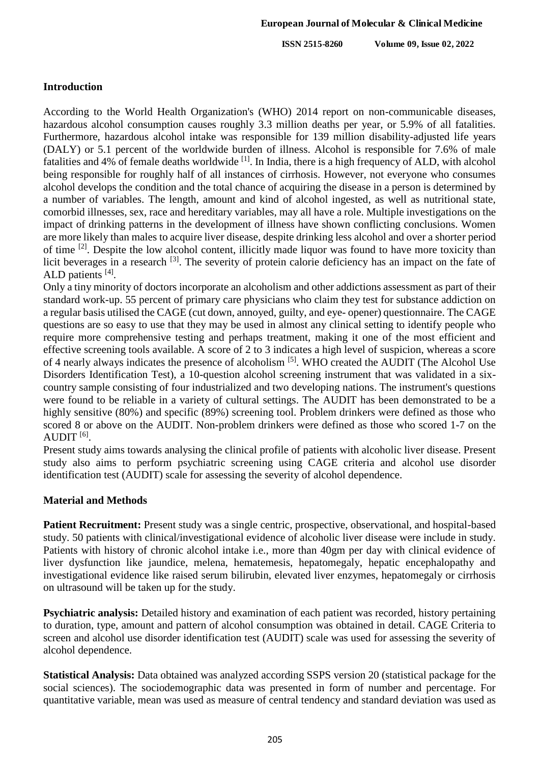**ISSN 2515-8260 Volume 09, Issue 02, 2022**

## **Introduction**

According to the World Health Organization's (WHO) 2014 report on non-communicable diseases, hazardous alcohol consumption causes roughly 3.3 million deaths per year, or 5.9% of all fatalities. Furthermore, hazardous alcohol intake was responsible for 139 million disability-adjusted life years (DALY) or 5.1 percent of the worldwide burden of illness. Alcohol is responsible for 7.6% of male fatalities and 4% of female deaths worldwide <sup>[1]</sup>. In India, there is a high frequency of ALD, with alcohol being responsible for roughly half of all instances of cirrhosis. However, not everyone who consumes alcohol develops the condition and the total chance of acquiring the disease in a person is determined by a number of variables. The length, amount and kind of alcohol ingested, as well as nutritional state, comorbid illnesses, sex, race and hereditary variables, may all have a role. Multiple investigations on the impact of drinking patterns in the development of illness have shown conflicting conclusions. Women are more likely than males to acquire liver disease, despite drinking less alcohol and over a shorter period of time <sup>[2]</sup>. Despite the low alcohol content, illicitly made liquor was found to have more toxicity than licit beverages in a research <sup>[3]</sup>. The severity of protein calorie deficiency has an impact on the fate of ALD patients [4].

Only a tiny minority of doctors incorporate an alcoholism and other addictions assessment as part of their standard work-up. 55 percent of primary care physicians who claim they test for substance addiction on a regular basis utilised the CAGE (cut down, annoyed, guilty, and eye- opener) questionnaire. The CAGE questions are so easy to use that they may be used in almost any clinical setting to identify people who require more comprehensive testing and perhaps treatment, making it one of the most efficient and effective screening tools available. A score of 2 to 3 indicates a high level of suspicion, whereas a score of 4 nearly always indicates the presence of alcoholism <sup>[5]</sup>. WHO created the AUDIT (The Alcohol Use Disorders Identification Test), a 10-question alcohol screening instrument that was validated in a sixcountry sample consisting of four industrialized and two developing nations. The instrument's questions were found to be reliable in a variety of cultural settings. The AUDIT has been demonstrated to be a highly sensitive (80%) and specific (89%) screening tool. Problem drinkers were defined as those who scored 8 or above on the AUDIT. Non-problem drinkers were defined as those who scored 1-7 on the  $\mathrm{AUDIT}$   $^{[6]}$ .

Present study aims towards analysing the clinical profile of patients with alcoholic liver disease. Present study also aims to perform psychiatric screening using CAGE criteria and alcohol use disorder identification test (AUDIT) scale for assessing the severity of alcohol dependence.

### **Material and Methods**

Patient Recruitment: Present study was a single centric, prospective, observational, and hospital-based study. 50 patients with clinical/investigational evidence of alcoholic liver disease were include in study. Patients with history of chronic alcohol intake i.e., more than 40gm per day with clinical evidence of liver dysfunction like jaundice, melena, hematemesis, hepatomegaly, hepatic encephalopathy and investigational evidence like raised serum bilirubin, elevated liver enzymes, hepatomegaly or cirrhosis on ultrasound will be taken up for the study.

**Psychiatric analysis:** Detailed history and examination of each patient was recorded, history pertaining to duration, type, amount and pattern of alcohol consumption was obtained in detail. CAGE Criteria to screen and alcohol use disorder identification test (AUDIT) scale was used for assessing the severity of alcohol dependence.

**Statistical Analysis:** Data obtained was analyzed according SSPS version 20 (statistical package for the social sciences). The sociodemographic data was presented in form of number and percentage. For quantitative variable, mean was used as measure of central tendency and standard deviation was used as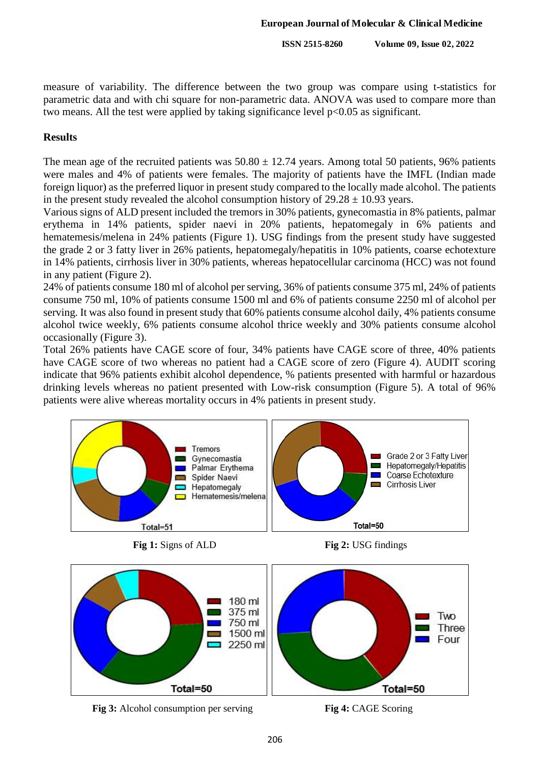**ISSN 2515-8260 Volume 09, Issue 02, 2022**

measure of variability. The difference between the two group was compare using t-statistics for parametric data and with chi square for non-parametric data. ANOVA was used to compare more than two means. All the test were applied by taking significance level p<0.05 as significant.

## **Results**

The mean age of the recruited patients was  $50.80 \pm 12.74$  years. Among total 50 patients, 96% patients were males and 4% of patients were females. The majority of patients have the IMFL (Indian made foreign liquor) as the preferred liquor in present study compared to the locally made alcohol. The patients in the present study revealed the alcohol consumption history of  $29.28 \pm 10.93$  years.

Various signs of ALD present included the tremors in 30% patients, gynecomastia in 8% patients, palmar erythema in 14% patients, spider naevi in 20% patients, hepatomegaly in 6% patients and hematemesis/melena in 24% patients (Figure 1). USG findings from the present study have suggested the grade 2 or 3 fatty liver in 26% patients, hepatomegaly/hepatitis in 10% patients, coarse echotexture in 14% patients, cirrhosis liver in 30% patients, whereas hepatocellular carcinoma (HCC) was not found in any patient (Figure 2).

24% of patients consume 180 ml of alcohol per serving, 36% of patients consume 375 ml, 24% of patients consume 750 ml, 10% of patients consume 1500 ml and 6% of patients consume 2250 ml of alcohol per serving. It was also found in present study that 60% patients consume alcohol daily, 4% patients consume alcohol twice weekly, 6% patients consume alcohol thrice weekly and 30% patients consume alcohol occasionally (Figure 3).

Total 26% patients have CAGE score of four, 34% patients have CAGE score of three, 40% patients have CAGE score of two whereas no patient had a CAGE score of zero (Figure 4). AUDIT scoring indicate that 96% patients exhibit alcohol dependence, % patients presented with harmful or hazardous drinking levels whereas no patient presented with Low-risk consumption (Figure 5). A total of 96% patients were alive whereas mortality occurs in 4% patients in present study.



**Fig 1:** Signs of ALD **Fig 2:** USG findings





**Fig 3:** Alcohol consumption per serving **Fig 4:** CAGE Scoring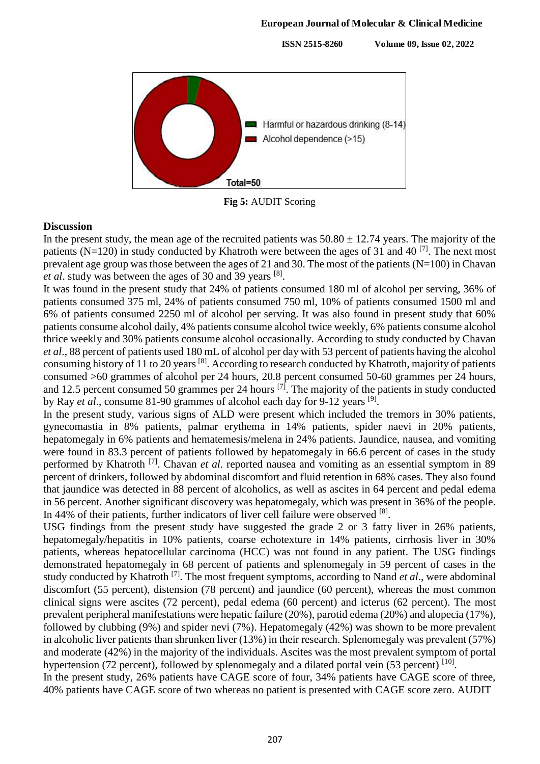**ISSN 2515-8260 Volume 09, Issue 02, 2022**



**Fig 5:** AUDIT Scoring

#### **Discussion**

In the present study, the mean age of the recruited patients was  $50.80 \pm 12.74$  years. The majority of the patients (N=120) in study conducted by Khatroth were between the ages of 31 and 40<sup>[7]</sup>. The next most prevalent age group was those between the ages of 21 and 30. The most of the patients ( $N=100$ ) in Chavan *et al*. study was between the ages of 30 and 39 years [8] .

It was found in the present study that 24% of patients consumed 180 ml of alcohol per serving, 36% of patients consumed 375 ml, 24% of patients consumed 750 ml, 10% of patients consumed 1500 ml and 6% of patients consumed 2250 ml of alcohol per serving. It was also found in present study that 60% patients consume alcohol daily, 4% patients consume alcohol twice weekly, 6% patients consume alcohol thrice weekly and 30% patients consume alcohol occasionally. According to study conducted by Chavan *et al*., 88 percent of patients used 180 mL of alcohol per day with 53 percent of patients having the alcohol consuming history of 11 to 20 years <sup>[8]</sup>. According to research conducted by Khatroth, majority of patients consumed >60 grammes of alcohol per 24 hours, 20.8 percent consumed 50-60 grammes per 24 hours, and 12.5 percent consumed 50 grammes per 24 hours  $^{[7]}$ . The majority of the patients in study conducted by Ray *et al.*, consume 81-90 grammes of alcohol each day for 9-12 years <sup>[9]</sup>.

In the present study, various signs of ALD were present which included the tremors in 30% patients, gynecomastia in 8% patients, palmar erythema in 14% patients, spider naevi in 20% patients, hepatomegaly in 6% patients and hematemesis/melena in 24% patients. Jaundice, nausea, and vomiting were found in 83.3 percent of patients followed by hepatomegaly in 66.6 percent of cases in the study performed by Khatroth [7] . Chavan *et al*. reported nausea and vomiting as an essential symptom in 89 percent of drinkers, followed by abdominal discomfort and fluid retention in 68% cases. They also found that jaundice was detected in 88 percent of alcoholics, as well as ascites in 64 percent and pedal edema in 56 percent. Another significant discovery was hepatomegaly, which was present in 36% of the people. In 44% of their patients, further indicators of liver cell failure were observed [8].

USG findings from the present study have suggested the grade 2 or 3 fatty liver in 26% patients, hepatomegaly/hepatitis in 10% patients, coarse echotexture in 14% patients, cirrhosis liver in 30% patients, whereas hepatocellular carcinoma (HCC) was not found in any patient. The USG findings demonstrated hepatomegaly in 68 percent of patients and splenomegaly in 59 percent of cases in the study conducted by Khatroth [7] . The most frequent symptoms, according to Nand *et al*., were abdominal discomfort (55 percent), distension (78 percent) and jaundice (60 percent), whereas the most common clinical signs were ascites (72 percent), pedal edema (60 percent) and icterus (62 percent). The most prevalent peripheral manifestations were hepatic failure (20%), parotid edema (20%) and alopecia (17%), followed by clubbing (9%) and spider nevi (7%). Hepatomegaly (42%) was shown to be more prevalent in alcoholic liver patients than shrunken liver (13%) in their research. Splenomegaly was prevalent (57%) and moderate (42%) in the majority of the individuals. Ascites was the most prevalent symptom of portal hypertension (72 percent), followed by splenomegaly and a dilated portal vein (53 percent) [10].

In the present study, 26% patients have CAGE score of four, 34% patients have CAGE score of three, 40% patients have CAGE score of two whereas no patient is presented with CAGE score zero. AUDIT